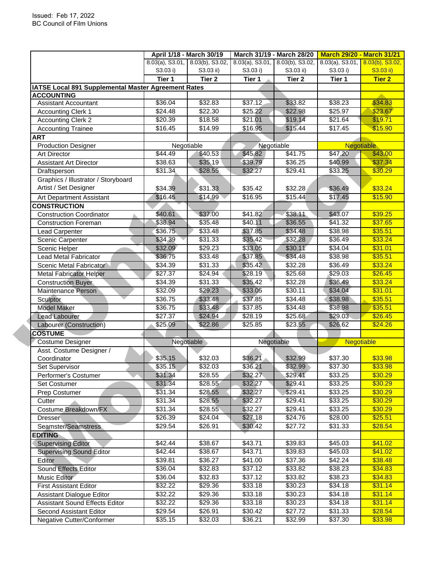|                                                     | April 1/18 - March 30/19 |                                 | March 31/19 - March 28/20             |           | <b>March 29/20 - March 31/21</b> |               |
|-----------------------------------------------------|--------------------------|---------------------------------|---------------------------------------|-----------|----------------------------------|---------------|
|                                                     |                          | 8.03(a), S3.01, 8.03(b), S3.02, | $8.03(a)$ , S3.01, $8.03(b)$ , S3.02, |           | 8.03(a), S3.01, 8.03(b), S3.02,  |               |
|                                                     | S3.03 i)                 | S3.03 ii)                       | S3.03 i)                              | S3.03 ii) | S3.03 i)                         | S3.03 ii)     |
|                                                     | Tier 1                   | Tier 2                          | Tier 1                                | Tier 2    | Tier 1                           | <b>Tier 2</b> |
| IATSE Local 891 Supplemental Master Agreement Rates |                          |                                 |                                       |           |                                  |               |
| <b>ACCOUNTING</b>                                   |                          |                                 |                                       |           |                                  |               |
| <b>Assistant Accountant</b>                         | \$36.04                  | \$32.83                         | \$37.12                               | \$33.82   | \$38.23                          | \$34.83       |
| <b>Accounting Clerk 1</b>                           | \$24.48                  | \$22.30                         | \$25.22                               | \$22.98   | \$25.97                          | \$23.67       |
| <b>Accounting Clerk 2</b>                           | \$20.39                  | \$18.58                         | \$21.01                               | \$19.14   | \$21.64                          | \$19.71       |
| <b>Accounting Trainee</b>                           | \$16.45                  | \$14.99                         | \$16.95                               | \$15.44   | \$17.45                          | \$15.90       |
| <b>ART</b>                                          |                          |                                 |                                       |           |                                  |               |
| <b>Production Designer</b>                          |                          | Negotiable                      | Negotiable                            |           | <b>Negotiable</b>                |               |
| <b>Art Director</b>                                 | \$44.49                  | \$40.53                         | \$45.82                               | \$41.75   | \$47,20                          | \$43.00       |
| <b>Assistant Art Director</b>                       | \$38.63                  | \$35.19                         | \$39.79                               | \$36.25   | \$40.99                          | \$37.34       |
| Draftsperson                                        | \$31.34                  | \$28.55                         | \$32.27                               | \$29.41   | \$33.25                          | \$30.29       |
| Graphics / Illustrator / Storyboard                 |                          |                                 |                                       |           |                                  |               |
| Artist / Set Designer                               | \$34.39                  | \$31.33                         | \$35.42                               | \$32.28   | \$36.49                          | \$33.24       |
| Art Department Assistant                            | \$16.45                  | \$14.99                         | \$16.95                               | \$15.44   | \$17.45                          | \$15.90       |
| <b>CONSTRUCTION</b>                                 |                          |                                 |                                       |           |                                  |               |
| <b>Construction Coordinator</b>                     | \$40.61                  | \$37.00                         | \$41.82                               | \$38.11   | \$43.07                          | \$39.25       |
| <b>Construction Foreman</b>                         | \$38.94                  | \$35.48                         | \$40.11                               | \$36.55   | \$41.32                          | \$37.65       |
| Lead Carpenter                                      | \$36.75                  | \$33.48                         | \$37.85                               | \$34.48   | \$38.98                          | \$35.51       |
| Scenic Carpenter                                    | \$34.39                  | \$31.33                         | \$35.42                               | \$32.28   | \$36.49                          | \$33.24       |
| Scenic Helper                                       | \$32.09                  | $\sqrt{$29.23}$                 | \$33.05                               | \$30.11   | \$34.04                          | \$31.01       |
| <b>Lead Metal Fabricator</b>                        | \$36.75                  | \$33.48                         | \$37.85                               | \$34.48   | \$38.98                          | \$35.51       |
| Scenic Metal Fabricator                             | \$34.39                  | \$31.33                         | \$35.42                               | \$32.28   | \$36.49                          | \$33.24       |
| <b>Metal Fabricator Helper</b>                      | \$27.37                  | \$24.94                         | \$28.19                               | \$25.68   | \$29.03                          | \$26.45       |
| <b>Construction Buyer</b>                           | \$34.39                  | \$31.33                         | \$35.42                               | \$32.28   | \$36.49                          | \$33.24       |
| Maintenance Person                                  | \$32.09                  | \$29.23                         | \$33.05                               | \$30.11   | \$34.04                          | \$31.01       |
| Sculptor                                            | \$36.75                  | \$33.48                         | \$37.85                               | \$34.48   | \$38.98                          | \$35.51       |
| <b>Model Maker</b>                                  | \$36.75                  | \$33.48                         | \$37.85                               | \$34.48   | \$38.98                          | \$35.51       |
| <b>Lead Labourer</b>                                | \$27.37                  | \$24.94                         | $\overline{$}28.19$                   | \$25.68   | \$29.03                          | \$26.45       |
| Labourer (Construction)                             | \$25.09                  | \$22.86                         | \$25.85                               | \$23.55   | \$26.62                          | \$24.26       |
| <b>COSTUME</b>                                      |                          |                                 |                                       |           |                                  |               |
| Costume Designer                                    |                          | Negotiable                      | Negotiable                            |           | <b>Negotiable</b>                |               |
| Asst. Costume Designer /                            |                          |                                 |                                       |           |                                  |               |
| Coordinator                                         | \$35.15                  | \$32.03                         | \$36.21                               | \$32.99   | \$37.30                          | \$33.98       |
| Set Supervisor                                      | \$35.15                  | \$32.03                         | \$36.21                               | \$32.99   | \$37.30                          | \$33.98       |
| Performer's Costumer                                | \$31.34                  | \$28.55                         | \$32.27                               | \$29.41   | \$33.25                          | \$30.29       |
| <b>Set Costumer</b>                                 | \$31.34                  | \$28.55                         | \$32.27                               | \$29.41   | \$33.25                          | \$30.29       |
| Prep Costumer                                       | \$31.34                  | \$28.55                         | \$32.27                               | \$29.41   | \$33.25<br>\$33.25               | \$30.29       |
| Cutter                                              | \$31.34                  | \$28.55                         | \$32.27                               | \$29.41   | \$33.25                          | \$30.29       |
| Costume Breakdown/FX                                | \$31.34                  | \$28.55                         | \$32.27                               | \$29.41   |                                  | \$30.29       |
| <b>Dresser</b>                                      | \$26.39                  | \$24.04                         | \$27.18                               | \$24.76   | \$28.00                          | \$25.51       |
| Seamster/Seamstress                                 | \$29.54                  | \$26.91                         | \$30.42                               | \$27.72   | \$31.33                          | \$28.54       |
| <b>EDITING</b>                                      |                          |                                 |                                       |           |                                  |               |
| <b>Supervising Editor</b>                           | \$42.44                  | \$38.67                         | \$43.71                               | \$39.83   | \$45.03                          | \$41.02       |
| <b>Supervising Sound Editor</b>                     | \$42.44                  | \$38.67                         | \$43.71                               | \$39.83   | \$45.03                          | \$41.02       |
| Editor                                              | \$39.81                  | \$36.27                         | \$41.00                               | \$37.36   | \$42.24                          | \$38.48       |
| Sound Effects Editor                                | \$36.04                  | \$32.83                         | \$37.12                               | \$33.82   | \$38.23                          | \$34.83       |
| Music Editor                                        | \$36.04                  | \$32.83                         | \$37.12                               | \$33.82   | \$38.23                          | \$34.83       |
| <b>First Assistant Editor</b>                       | \$32.22                  | \$29.36                         | \$33.18                               | \$30.23   | \$34.18                          | \$31.14       |
| Assistant Dialogue Editor                           | \$32.22                  | \$29.36                         | \$33.18                               | \$30.23   | \$34.18                          | \$31.14       |
| <b>Assistant Sound Effects Editor</b>               | \$32.22                  | \$29.36                         | \$33.18                               | \$30.23   | \$34.18                          | \$31.14       |
| Second Assistant Editor                             | \$29.54                  | \$26.91                         | \$30.42                               | \$27.72   | \$31.33                          | \$28.54       |
| Negative Cutter/Conformer                           | \$35.15                  | \$32.03                         | \$36.21                               | \$32.99   | \$37.30                          | \$33.98       |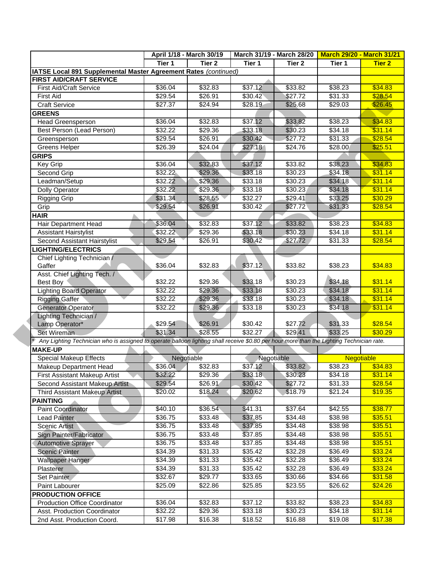| April 1/18 - March 30/19 |                                                                                                 | March 31/19 - March 28/20 March 29/20 - March 31/21                                                                                       |                                                                                                                                                                                          |                                                                                                                                            |                                                                                                                       |
|--------------------------|-------------------------------------------------------------------------------------------------|-------------------------------------------------------------------------------------------------------------------------------------------|------------------------------------------------------------------------------------------------------------------------------------------------------------------------------------------|--------------------------------------------------------------------------------------------------------------------------------------------|-----------------------------------------------------------------------------------------------------------------------|
| Tier 1                   | Tier 2                                                                                          | Tier 1                                                                                                                                    |                                                                                                                                                                                          | Tier 1                                                                                                                                     | <b>Tier 2</b>                                                                                                         |
|                          |                                                                                                 |                                                                                                                                           |                                                                                                                                                                                          |                                                                                                                                            |                                                                                                                       |
|                          |                                                                                                 |                                                                                                                                           |                                                                                                                                                                                          |                                                                                                                                            |                                                                                                                       |
|                          |                                                                                                 |                                                                                                                                           |                                                                                                                                                                                          |                                                                                                                                            | \$34.83                                                                                                               |
|                          |                                                                                                 |                                                                                                                                           |                                                                                                                                                                                          |                                                                                                                                            | \$28.54                                                                                                               |
| \$27.37                  |                                                                                                 |                                                                                                                                           |                                                                                                                                                                                          |                                                                                                                                            | \$26.45                                                                                                               |
|                          |                                                                                                 |                                                                                                                                           |                                                                                                                                                                                          |                                                                                                                                            |                                                                                                                       |
|                          |                                                                                                 |                                                                                                                                           |                                                                                                                                                                                          |                                                                                                                                            | \$34.83                                                                                                               |
|                          | \$29.36                                                                                         |                                                                                                                                           |                                                                                                                                                                                          |                                                                                                                                            | \$31.14                                                                                                               |
|                          |                                                                                                 |                                                                                                                                           |                                                                                                                                                                                          |                                                                                                                                            | \$28.54                                                                                                               |
|                          |                                                                                                 |                                                                                                                                           |                                                                                                                                                                                          |                                                                                                                                            | \$25.51                                                                                                               |
|                          |                                                                                                 |                                                                                                                                           |                                                                                                                                                                                          |                                                                                                                                            |                                                                                                                       |
| \$36.04                  |                                                                                                 |                                                                                                                                           |                                                                                                                                                                                          |                                                                                                                                            | \$34.83                                                                                                               |
|                          |                                                                                                 |                                                                                                                                           |                                                                                                                                                                                          |                                                                                                                                            | \$31.14                                                                                                               |
| \$32.22                  |                                                                                                 | \$33.18                                                                                                                                   | \$30.23                                                                                                                                                                                  | \$34.18                                                                                                                                    | \$31.14                                                                                                               |
| \$32.22                  | \$29.36                                                                                         | \$33.18                                                                                                                                   | \$30.23                                                                                                                                                                                  | \$34.18                                                                                                                                    | \$31.14                                                                                                               |
| \$31.34                  | \$28.55                                                                                         | \$32.27                                                                                                                                   | \$29.41                                                                                                                                                                                  | \$33.25                                                                                                                                    | \$30.29                                                                                                               |
| \$29.54                  | \$26.91                                                                                         | \$30.42                                                                                                                                   | \$27.72                                                                                                                                                                                  | \$31.33                                                                                                                                    | \$28.54                                                                                                               |
|                          |                                                                                                 |                                                                                                                                           |                                                                                                                                                                                          |                                                                                                                                            |                                                                                                                       |
| \$36.04                  | \$32.83                                                                                         | \$37.12                                                                                                                                   | \$33.82                                                                                                                                                                                  | \$38.23                                                                                                                                    | \$34.83                                                                                                               |
| \$32.22                  | \$29.36                                                                                         | \$33.18                                                                                                                                   | \$30.23                                                                                                                                                                                  | \$34.18                                                                                                                                    | \$31.14                                                                                                               |
| \$29.54                  | \$26.91                                                                                         | \$30.42                                                                                                                                   | \$27.72                                                                                                                                                                                  | \$31.33                                                                                                                                    | \$28.54                                                                                                               |
|                          |                                                                                                 |                                                                                                                                           |                                                                                                                                                                                          |                                                                                                                                            |                                                                                                                       |
|                          |                                                                                                 |                                                                                                                                           |                                                                                                                                                                                          |                                                                                                                                            |                                                                                                                       |
| \$36.04                  | \$32.83                                                                                         | \$37.12                                                                                                                                   | \$33.82                                                                                                                                                                                  | \$38.23                                                                                                                                    | \$34.83                                                                                                               |
|                          |                                                                                                 |                                                                                                                                           |                                                                                                                                                                                          |                                                                                                                                            |                                                                                                                       |
|                          |                                                                                                 |                                                                                                                                           |                                                                                                                                                                                          |                                                                                                                                            | \$31.14                                                                                                               |
|                          |                                                                                                 |                                                                                                                                           |                                                                                                                                                                                          |                                                                                                                                            | \$31.14                                                                                                               |
| \$32.22                  | \$29.36                                                                                         | \$33.18                                                                                                                                   | \$30.23                                                                                                                                                                                  | \$34.18                                                                                                                                    | \$31.14                                                                                                               |
| \$32.22                  | \$29.36                                                                                         | \$33.18                                                                                                                                   | \$30.23                                                                                                                                                                                  | \$34.18                                                                                                                                    | \$31.14                                                                                                               |
|                          |                                                                                                 |                                                                                                                                           |                                                                                                                                                                                          |                                                                                                                                            |                                                                                                                       |
| \$29.54                  | \$26.91                                                                                         | \$30.42                                                                                                                                   | \$27.72                                                                                                                                                                                  | \$31.33                                                                                                                                    | \$28.54                                                                                                               |
|                          |                                                                                                 |                                                                                                                                           |                                                                                                                                                                                          |                                                                                                                                            |                                                                                                                       |
| \$31,34                  | \$28.55                                                                                         | \$32.27                                                                                                                                   | \$29.41                                                                                                                                                                                  | \$33.25                                                                                                                                    | \$30.29                                                                                                               |
|                          |                                                                                                 | Any Lighting Technician who is assigned to operate balloon lighting shall receive \$0.80 per hour more than the Lighting Technician rate. |                                                                                                                                                                                          |                                                                                                                                            |                                                                                                                       |
|                          |                                                                                                 |                                                                                                                                           |                                                                                                                                                                                          |                                                                                                                                            |                                                                                                                       |
| Negotiable               |                                                                                                 | Negotiable                                                                                                                                |                                                                                                                                                                                          | <b>Negotiable</b>                                                                                                                          |                                                                                                                       |
| \$36.04                  | \$32.83                                                                                         | \$37.12                                                                                                                                   | \$33.82                                                                                                                                                                                  | \$38.23                                                                                                                                    | \$34.83                                                                                                               |
| \$32.22                  | \$29.36                                                                                         | \$33.18                                                                                                                                   | \$30.23                                                                                                                                                                                  | \$34.18                                                                                                                                    | \$31.14                                                                                                               |
| \$29.54                  | \$26.91                                                                                         | \$30.42                                                                                                                                   | \$27.72                                                                                                                                                                                  | \$31.33                                                                                                                                    | \$28.54                                                                                                               |
| \$20.02                  | \$18.24                                                                                         | \$20.62                                                                                                                                   | \$18.79                                                                                                                                                                                  | \$21.24                                                                                                                                    | \$19.35                                                                                                               |
|                          |                                                                                                 |                                                                                                                                           |                                                                                                                                                                                          |                                                                                                                                            |                                                                                                                       |
| \$40.10                  | \$36.54                                                                                         | \$41.31                                                                                                                                   | \$37.64                                                                                                                                                                                  | \$42.55                                                                                                                                    | \$38.77                                                                                                               |
| \$36.75                  | \$33.48                                                                                         | \$37.85                                                                                                                                   | \$34.48                                                                                                                                                                                  | \$38.98                                                                                                                                    | \$35.51                                                                                                               |
| \$36.75                  | \$33.48                                                                                         | \$37.85                                                                                                                                   | \$34.48                                                                                                                                                                                  | \$38.98                                                                                                                                    | \$35.51                                                                                                               |
| \$36.75                  | \$33.48                                                                                         | \$37.85                                                                                                                                   | \$34.48                                                                                                                                                                                  | \$38.98                                                                                                                                    | \$35.51                                                                                                               |
| \$36.75                  | \$33.48                                                                                         | \$37.85                                                                                                                                   | $\sqrt{$34.48}$                                                                                                                                                                          | \$38.98                                                                                                                                    | \$35.51                                                                                                               |
| \$34.39                  | \$31.33                                                                                         | \$35.42                                                                                                                                   | \$32.28                                                                                                                                                                                  | \$36.49                                                                                                                                    | \$33.24                                                                                                               |
| \$34.39                  | \$31.33                                                                                         | \$35.42                                                                                                                                   | \$32.28                                                                                                                                                                                  | \$36.49                                                                                                                                    | \$33.24                                                                                                               |
| \$34.39                  |                                                                                                 | \$35.42                                                                                                                                   | \$32.28                                                                                                                                                                                  | \$36.49                                                                                                                                    | \$33.24                                                                                                               |
|                          | \$31.33                                                                                         |                                                                                                                                           |                                                                                                                                                                                          |                                                                                                                                            |                                                                                                                       |
| \$32.67                  | \$29.77                                                                                         | \$33.65                                                                                                                                   | $\overline{$}30.66$                                                                                                                                                                      | \$34.66                                                                                                                                    | \$31.58                                                                                                               |
| \$25.09                  | \$22.86                                                                                         | \$25.85                                                                                                                                   | \$23.55                                                                                                                                                                                  | \$26.62                                                                                                                                    | \$24.26                                                                                                               |
|                          |                                                                                                 |                                                                                                                                           |                                                                                                                                                                                          |                                                                                                                                            |                                                                                                                       |
| \$36.04<br>\$32.22       | \$32.83<br>\$29.36                                                                              | \$37.12<br>\$33.18                                                                                                                        | \$33.82<br>\$30.23                                                                                                                                                                       | \$38.23<br>\$34.18                                                                                                                         | \$34.83<br>\$31.14                                                                                                    |
|                          | \$36.04<br>\$29.54<br>\$36.04<br>\$32.22<br>\$29.54<br>\$26.39<br>\$32.22<br>\$32.22<br>\$32.22 | \$32.83<br>\$26.91<br>\$24.94<br>\$32.83<br>\$26.91<br>\$24.04<br>\$32.83<br>\$29.36<br>\$29.36<br>\$29.36<br>\$29.36                     | IATSE Local 891 Supplemental Master Agreement Rates (continued)<br>\$37.12<br>\$30.42<br>\$28.19<br>\$37.12<br>\$33.18<br>\$30.42<br>\$27.18<br>\$37.12<br>\$33.18<br>\$33.18<br>\$33.18 | Tier <sub>2</sub><br>\$33.82<br>\$27.72<br>\$25.68<br>\$33.82<br>\$30.23<br>\$27.72<br>\$24.76<br>\$33.82<br>\$30.23<br>\$30.23<br>\$30.23 | \$38.23<br>\$31.33<br>\$29.03<br>\$38.23<br>\$34.18<br>\$31.33<br>\$28.00<br>\$38.23<br>\$34.18<br>\$34.18<br>\$34.18 |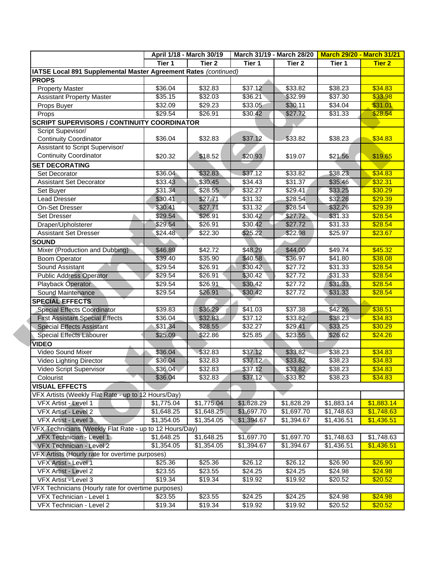|                                                                 | April 1/18 - March 30/19 |                   |            | March 31/19 - March 28/20 | <b>March 29/20 - March 31/21</b> |               |
|-----------------------------------------------------------------|--------------------------|-------------------|------------|---------------------------|----------------------------------|---------------|
|                                                                 | Tier 1                   | Tier <sub>2</sub> | Tier 1     | Tier 2                    | Tier 1                           | <b>Tier 2</b> |
| IATSE Local 891 Supplemental Master Agreement Rates (continued) |                          |                   |            |                           |                                  |               |
| <b>PROPS</b>                                                    |                          |                   |            |                           |                                  |               |
| <b>Property Master</b>                                          | \$36.04                  | \$32.83           | \$37.12    | \$33.82                   | \$38.23                          | \$34.83       |
| <b>Assistant Property Master</b>                                | \$35.15                  | \$32.03           | \$36.21    | \$32.99                   | \$37.30                          | \$33.98       |
| Props Buyer                                                     | \$32.09                  | \$29.23           | \$33.05    | \$30.11                   | \$34.04                          | \$31.01       |
| Props                                                           | \$29.54                  | \$26.91           | \$30.42    | \$27.72                   | \$31.33                          | \$28.54       |
| <b>SCRIPT SUPERVISORS / CONTINUITY COORDINATOR</b>              |                          |                   |            |                           |                                  |               |
| Script Supevisor/                                               |                          |                   |            |                           |                                  |               |
| <b>Continuity Coordinator</b>                                   | \$36.04                  | \$32.83           | \$37.12    | \$33.82                   | \$38.23                          | \$34.83       |
| Assistant to Script Supervisor/                                 |                          |                   |            |                           |                                  |               |
| <b>Continuity Coordinator</b>                                   | \$20.32                  | \$18.52           | \$20.93    | \$19.07                   | \$21.56                          | \$19.65       |
| <b>SET DECORATING</b>                                           |                          |                   |            |                           |                                  |               |
| Set Decorator                                                   | \$36.04                  | \$32.83           | \$37.12    | \$33.82                   | \$38.23                          | \$34.83       |
| <b>Assistant Set Decorator</b>                                  | \$33.43                  | \$30.45           | \$34.43    | \$31.37                   | \$35.46                          | \$32.31       |
| Set Buyer                                                       | \$31.34                  | \$28.55           | \$32.27    | \$29.41                   | \$33.25                          | \$30.29       |
| Lead Dresser                                                    | \$30.41                  | \$27.71           | \$31.32    | \$28.54                   | \$32.26                          | \$29.39       |
| On-Set Dresser                                                  | \$30.41                  | \$27.71           | \$31.32    | \$28.54                   | \$32.26                          | \$29.39       |
| Set Dresser                                                     | \$29.54                  | \$26.91           | \$30.42    | \$27.72                   | \$31.33                          | \$28.54       |
| Draper/Upholsterer                                              | \$29.54                  | \$26.91           | \$30.42    | \$27.72                   | \$31.33                          | \$28.54       |
| <b>Assistant Set Dresser</b>                                    | \$24.48                  | \$22.30           | \$25.22    | \$22.98                   | \$25.97                          | \$23.67       |
| <b>SOUND</b>                                                    |                          |                   |            |                           |                                  |               |
| Mixer (Production and Dubbing)                                  | \$46.89                  | \$42.72           | \$48.29    | \$44.00                   | \$49.74                          | \$45.32       |
| <b>Boom Operator</b>                                            | \$39.40                  | \$35.90           | \$40.58    | \$36.97                   | \$41.80                          | \$38.08       |
| Sound Assistant                                                 | \$29.54                  | \$26.91           | \$30.42    | \$27.72                   | \$31.33                          | \$28.54       |
| <b>Public Address Operator</b>                                  | \$29.54                  | \$26.91           | \$30.42    | \$27.72                   | \$31.33                          | \$28.54       |
| Playback Operator                                               | \$29.54                  | \$26.91           | \$30.42    | \$27.72                   | \$31.33                          | \$28.54       |
| Sound Maintenance                                               | \$29.54                  | \$26.91           | \$30.42    | \$27.72                   | \$31.33                          | \$28.54       |
| <b>SPECIAL EFFECTS</b>                                          |                          |                   |            |                           |                                  |               |
| <b>Special Effects Coordinator</b>                              | \$39.83                  | \$36.29           | \$41.03    | \$37.38                   | \$42.26                          | \$38.51       |
| <b>First Assistant Special Effects</b>                          | \$36.04                  | \$32.83           | \$37.12    | \$33.82                   | \$38.23                          | \$34.83       |
| <b>Special Effects Assistant</b>                                | \$31.34                  | \$28.55           | \$32.27    | \$29.41                   | \$33.25                          | \$30.29       |
| Special Effects Labourer                                        | \$25.09                  | \$22.86           | \$25.85    | \$23.55                   | \$26.62                          | \$24.26       |
| <b>VIDEO</b>                                                    |                          |                   |            |                           |                                  |               |
| Video Sound Mixer                                               | \$36.04                  | \$32.83           | \$37.12    | \$33.82                   | \$38.23                          | \$34.83       |
| Video Lighting Director                                         | \$36.04                  | \$32.83           | \$37.12    | \$33.82                   | \$38.23                          | \$34.83       |
| Video Script Supervisor                                         | \$36.04                  | \$32.83           | \$37.12    | \$33.82                   | \$38.23                          | \$34.83       |
| Colourist                                                       | \$36.04                  | \$32.83           | \$37.12    | \$33.82                   | \$38.23                          | \$34.83       |
| <b>VISUAL EFFECTS</b>                                           |                          |                   |            |                           |                                  |               |
| VFX Artists (Weekly Flat Rate - up to 12 Hours/Day)             |                          |                   |            |                           |                                  |               |
| VFX Artist - Level 1                                            | \$1,775.04               | \$1,775.04        | \$1,828.29 | \$1,828.29                | \$1,883.14                       | \$1,883.14    |
| <b>VFX Artist - Level 2</b>                                     | \$1,648.25               | \$1,648.25        | \$1,697.70 | \$1,697.70                | \$1,748.63                       | \$1,748.63    |
| VFX Artist - Level 3                                            | \$1,354.05               | \$1,354.05        | \$1,394.67 | \$1,394.67                | \$1,436.51                       | \$1,436.51    |
| VFX Technicians (Weekly Flat Rate - up to 12 Hours/Day)         |                          |                   |            |                           |                                  |               |
| VFX Technician - Level 1                                        | \$1,648.25               | \$1,648.25        | \$1,697.70 | \$1,697.70                | \$1,748.63                       | \$1,748.63    |
| VFX Technician - Level 2                                        | \$1,354.05               | \$1,354.05        | \$1,394.67 | \$1,394.67                | \$1,436.51                       | \$1,436.51    |
|                                                                 |                          |                   |            |                           |                                  |               |
| VFX Artists (Hourly rate for overtime purposes)                 |                          | \$25.36           |            |                           |                                  | \$26.90       |
| VFX Artist - Level 1                                            | \$25.36                  |                   | \$26.12    | \$26.12                   | \$26.90                          |               |
| VFX Artist - Level 2                                            | \$23.55                  | \$23.55           | \$24.25    | \$24.25                   | \$24.98                          | \$24.98       |
| VFX Artist - Level 3                                            | \$19.34                  | \$19.34           | \$19.92    | \$19.92                   | \$20.52                          | \$20.52       |
| VFX Technicians (Hourly rate for overtime purposes)             |                          |                   |            |                           |                                  |               |
| VFX Technician - Level 1                                        | \$23.55                  | \$23.55           | \$24.25    | \$24.25                   | \$24.98                          | \$24.98       |
| VFX Technician - Level 2                                        | \$19.34                  | \$19.34           | \$19.92    | \$19.92                   | \$20.52                          | \$20.52       |